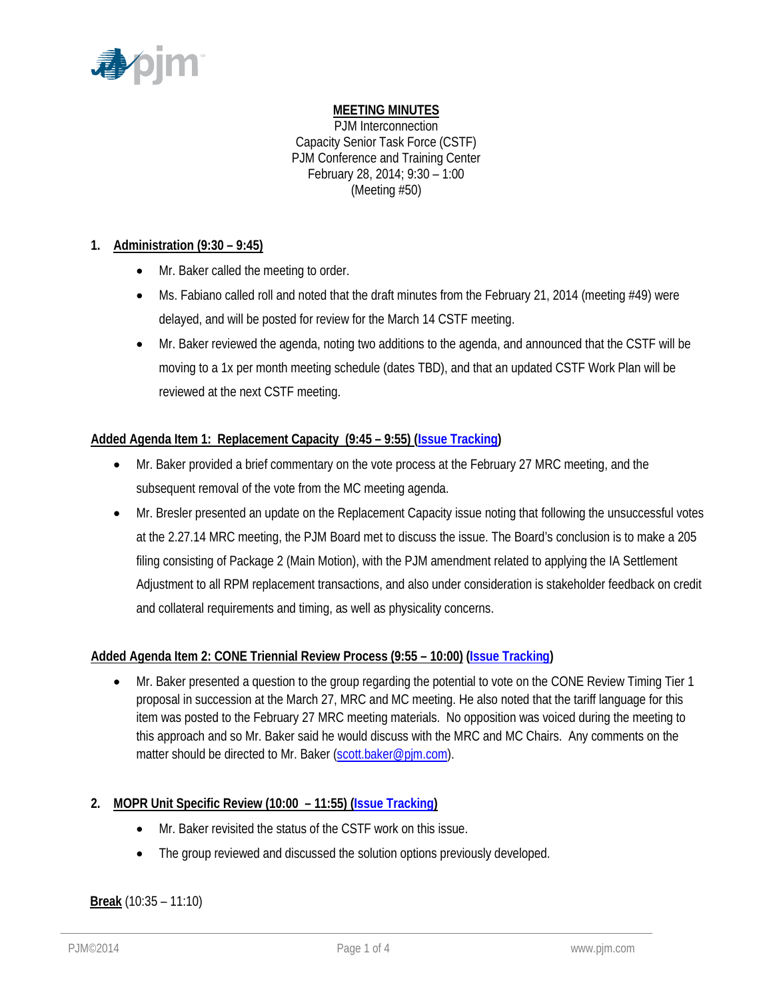

# **MEETING MINUTES**

PJM Interconnection Capacity Senior Task Force (CSTF) PJM Conference and Training Center February 28, 2014; 9:30 – 1:00 (Meeting #50)

# **1. Administration (9:30 – 9:45)**

- Mr. Baker called the meeting to order.
- Ms. Fabiano called roll and noted that the draft minutes from the February 21, 2014 (meeting  $\#49$ ) were delayed, and will be posted for review for the March 14 CSTF meeting.
- Mr. Baker reviewed the agenda, noting two additions to the agenda, and announced that the CSTF will be moving to a 1x per month meeting schedule (dates TBD), and that an updated CSTF Work Plan will be reviewed at the next CSTF meeting.

# **Added Agenda Item 1: Replacement Capacity (9:45 – 9:55) [\(Issue Tracking\)](http://www.pjm.com/committees-and-groups/issue-tracking/issue-tracking-details.aspx?Issue=%7b0D0E7DC9-432E-4207-B27D-9EF7D07ADC25%7d)**

- Mr. Baker provided a brief commentary on the vote process at the February 27 MRC meeting, and the subsequent removal of the vote from the MC meeting agenda.
- Mr. Bresler presented an update on the Replacement Capacity issue noting that following the unsuccessful votes at the 2.27.14 MRC meeting, the PJM Board met to discuss the issue. The Board's conclusion is to make a 205 filing consisting of Package 2 (Main Motion), with the PJM amendment related to applying the IA Settlement Adjustment to all RPM replacement transactions, and also under consideration is stakeholder feedback on credit and collateral requirements and timing, as well as physicality concerns.

# **Added Agenda Item 2: CONE Triennial Review Process (9:55 – 10:00) [\(Issue Tracking\)](http://www.pjm.com/committees-and-groups/issue-tracking/issue-tracking-details.aspx?Issue=%7bE4A0F3EC-E7F8-4ABD-853F-4D43F8D50103%7d)**

• Mr. Baker presented a question to the group regarding the potential to vote on the CONE Review Timing Tier 1 proposal in succession at the March 27, MRC and MC meeting. He also noted that the tariff language for this item was posted to the February 27 MRC meeting materials. No opposition was voiced during the meeting to this approach and so Mr. Baker said he would discuss with the MRC and MC Chairs. Any comments on the matter should be directed to Mr. Baker [\(scott.baker@pjm.com\)](mailto:scott.baker@pjm.com).

# **2. MOPR Unit Specific Review (10:00 – 11:55) [\(Issue Tracking\)](http://www.pjm.com/committees-and-groups/issue-tracking/issue-tracking-details.aspx?Issue=%7b615F4A47-A683-4E2F-90EA-10FFFCBFA91D%7d)**

- Mr. Baker revisited the status of the CSTF work on this issue.
- The group reviewed and discussed the solution options previously developed.

# **Break** (10:35 – 11:10)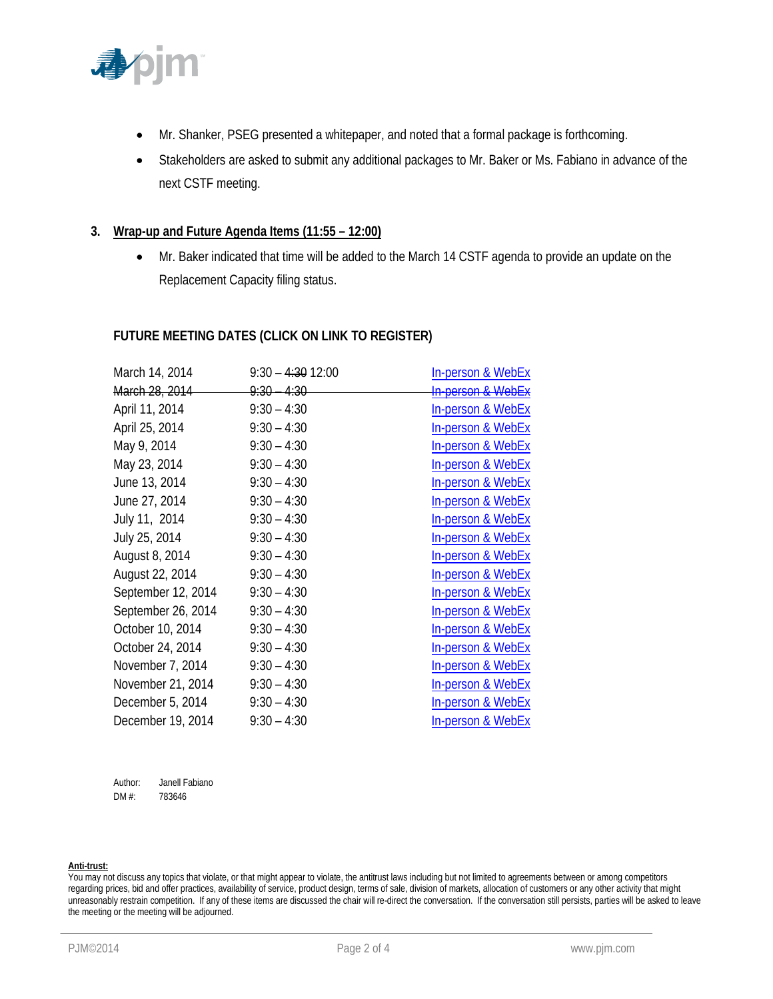

- Mr. Shanker, PSEG presented a whitepaper, and noted that a formal package is forthcoming.
- Stakeholders are asked to submit any additional packages to Mr. Baker or Ms. Fabiano in advance of the next CSTF meeting.

## **3. Wrap-up and Future Agenda Items (11:55 – 12:00)**

• Mr. Baker indicated that time will be added to the March 14 CSTF agenda to provide an update on the Replacement Capacity filing status.

## **FUTURE MEETING DATES (CLICK ON LINK TO REGISTER)**

| March 14, 2014     | $9:30 - 4:30$ 12:00    | In-person & WebEx                |
|--------------------|------------------------|----------------------------------|
| March 28, 2014     | <del>9:30 – 4:30</del> | <del>In person &amp; WebEx</del> |
| April 11, 2014     | $9:30 - 4:30$          | <b>In-person &amp; WebEx</b>     |
| April 25, 2014     | $9:30 - 4:30$          | <b>In-person &amp; WebEx</b>     |
| May 9, 2014        | $9:30 - 4:30$          | <b>In-person &amp; WebEx</b>     |
| May 23, 2014       | $9:30 - 4:30$          | <b>In-person &amp; WebEx</b>     |
| June 13, 2014      | $9:30 - 4:30$          | <b>In-person &amp; WebEx</b>     |
| June 27, 2014      | $9:30 - 4:30$          | In-person & WebEx                |
| July 11, 2014      | $9:30 - 4:30$          | In-person & WebEx                |
| July 25, 2014      | $9:30 - 4:30$          | In-person & WebEx                |
| August 8, 2014     | $9:30 - 4:30$          | <b>In-person &amp; WebEx</b>     |
| August 22, 2014    | $9:30 - 4:30$          | <b>In-person &amp; WebEx</b>     |
| September 12, 2014 | $9:30 - 4:30$          | In-person & WebEx                |
| September 26, 2014 | $9:30 - 4:30$          | <b>In-person &amp; WebEx</b>     |
| October 10, 2014   | $9:30 - 4:30$          | <b>In-person &amp; WebEx</b>     |
| October 24, 2014   | $9:30 - 4:30$          | <b>In-person &amp; WebEx</b>     |
| November 7, 2014   | $9:30 - 4:30$          | <b>In-person &amp; WebEx</b>     |
| November 21, 2014  | $9:30 - 4:30$          | <b>In-person &amp; WebEx</b>     |
| December 5, 2014   | $9:30 - 4:30$          | In-person & WebEx                |
| December 19, 2014  | $9:30 - 4:30$          | <b>In-person &amp; WebEx</b>     |

Author: Janell Fabiano DM #: 783646

### **Anti-trust:**

You may not discuss any topics that violate, or that might appear to violate, the antitrust laws including but not limited to agreements between or among competitors regarding prices, bid and offer practices, availability of service, product design, terms of sale, division of markets, allocation of customers or any other activity that might unreasonably restrain competition. If any of these items are discussed the chair will re-direct the conversation. If the conversation still persists, parties will be asked to leave the meeting or the meeting will be adjourned.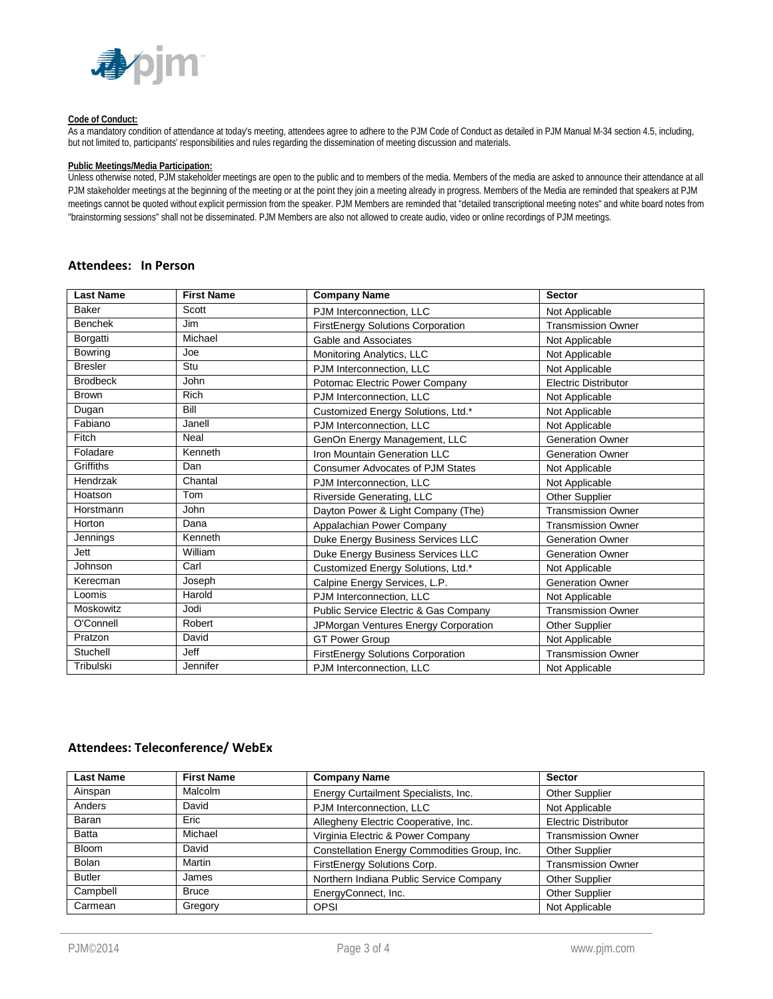

#### **Code of Conduct:**

As a mandatory condition of attendance at today's meeting, attendees agree to adhere to the PJM Code of Conduct as detailed in PJM Manual M-34 section 4.5, including, but not limited to, participants' responsibilities and rules regarding the dissemination of meeting discussion and materials.

#### **Public Meetings/Media Participation:**

Unless otherwise noted, PJM stakeholder meetings are open to the public and to members of the media. Members of the media are asked to announce their attendance at all PJM stakeholder meetings at the beginning of the meeting or at the point they join a meeting already in progress. Members of the Media are reminded that speakers at PJM meetings cannot be quoted without explicit permission from the speaker. PJM Members are reminded that "detailed transcriptional meeting notes" and white board notes from "brainstorming sessions" shall not be disseminated. PJM Members are also not allowed to create audio, video or online recordings of PJM meetings.

## **Attendees: In Person**

| <b>Last Name</b> | <b>First Name</b> | <b>Company Name</b>                     | <b>Sector</b>               |
|------------------|-------------------|-----------------------------------------|-----------------------------|
| <b>Baker</b>     | Scott             | PJM Interconnection, LLC                | Not Applicable              |
| <b>Benchek</b>   | Jim               | FirstEnergy Solutions Corporation       | <b>Transmission Owner</b>   |
| Borgatti         | Michael           | Gable and Associates                    | Not Applicable              |
| <b>Bowring</b>   | Joe               | Monitoring Analytics, LLC               | Not Applicable              |
| <b>Bresler</b>   | Stu               | PJM Interconnection, LLC                | Not Applicable              |
| <b>Brodbeck</b>  | <b>John</b>       | Potomac Electric Power Company          | <b>Electric Distributor</b> |
| <b>Brown</b>     | <b>Rich</b>       | PJM Interconnection, LLC                | Not Applicable              |
| Dugan            | Bill              | Customized Energy Solutions, Ltd.*      | Not Applicable              |
| Fabiano          | Janell            | PJM Interconnection. LLC                | Not Applicable              |
| <b>Fitch</b>     | Neal              | GenOn Energy Management, LLC            | <b>Generation Owner</b>     |
| Foladare         | Kenneth           | Iron Mountain Generation LLC            | <b>Generation Owner</b>     |
| Griffiths        | Dan               | <b>Consumer Advocates of PJM States</b> | Not Applicable              |
| Hendrzak         | Chantal           | PJM Interconnection, LLC                | Not Applicable              |
| Hoatson          | Tom               | Riverside Generating, LLC               | Other Supplier              |
| Horstmann        | <b>John</b>       | Dayton Power & Light Company (The)      | <b>Transmission Owner</b>   |
| Horton           | Dana              | Appalachian Power Company               | <b>Transmission Owner</b>   |
| Jennings         | Kenneth           | Duke Energy Business Services LLC       | <b>Generation Owner</b>     |
| Jett             | William           | Duke Energy Business Services LLC       | <b>Generation Owner</b>     |
| Johnson          | Carl              | Customized Energy Solutions, Ltd.*      | Not Applicable              |
| Kerecman         | Joseph            | Calpine Energy Services, L.P.           | <b>Generation Owner</b>     |
| Loomis           | Harold            | PJM Interconnection, LLC                | Not Applicable              |
| Moskowitz        | Jodi              | Public Service Electric & Gas Company   | <b>Transmission Owner</b>   |
| O'Connell        | Robert            | JPMorgan Ventures Energy Corporation    | Other Supplier              |
| Pratzon          | David             | <b>GT Power Group</b>                   | Not Applicable              |
| Stuchell         | Jeff              | FirstEnergy Solutions Corporation       | <b>Transmission Owner</b>   |
| Tribulski        | Jennifer          | PJM Interconnection, LLC                | Not Applicable              |

### **Attendees: Teleconference/ WebEx**

| <b>Last Name</b> | <b>First Name</b> | <b>Company Name</b>                          | <b>Sector</b>               |
|------------------|-------------------|----------------------------------------------|-----------------------------|
| Ainspan          | Malcolm           | Energy Curtailment Specialists, Inc.         | <b>Other Supplier</b>       |
| Anders           | David             | PJM Interconnection, LLC                     | Not Applicable              |
| Baran            | Eric              | Allegheny Electric Cooperative, Inc.         | <b>Electric Distributor</b> |
| <b>Batta</b>     | Michael           | Virginia Electric & Power Company            | <b>Transmission Owner</b>   |
| <b>Bloom</b>     | David             | Constellation Energy Commodities Group, Inc. | Other Supplier              |
| <b>Bolan</b>     | Martin            | FirstEnergy Solutions Corp.                  | <b>Transmission Owner</b>   |
| <b>Butler</b>    | James             | Northern Indiana Public Service Company      | <b>Other Supplier</b>       |
| Campbell         | <b>Bruce</b>      | EnergyConnect, Inc.                          | <b>Other Supplier</b>       |
| Carmean          | Gregory           | <b>OPSI</b>                                  | Not Applicable              |